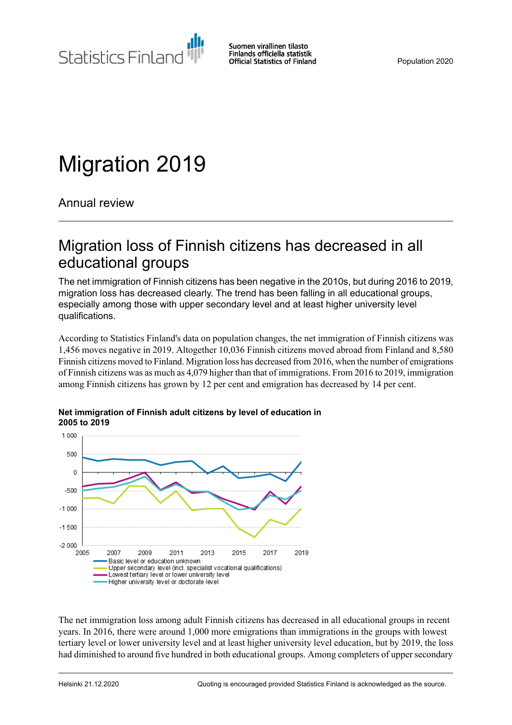Statistics Finland

Suomen virallinen tilasto Finlands officiella statistik **Official Statistics of Finland** 

Population 2020

# Migration 2019

Annual review

## Migration loss of Finnish citizens has decreased in all educational groups

The net immigration of Finnish citizens has been negative in the 2010s, but during 2016 to 2019, migration loss has decreased clearly. The trend has been falling in all educational groups, especially among those with upper secondary level and at least higher university level qualifications.

According to Statistics Finland's data on population changes, the net immigration of Finnish citizens was 1,456 moves negative in 2019. Altogether 10,036 Finnish citizens moved abroad from Finland and 8,580 Finnish citizens moved to Finland. Migration loss has decreased from 2016, when the number of emigrations of Finnish citizens was as much as 4,079 higher than that of immigrations. From 2016 to 2019, immigration among Finnish citizens has grown by 12 per cent and emigration has decreased by 14 per cent.



#### **Net immigration of Finnish adult citizens by level of education in 2005 to 2019**

The net immigration loss among adult Finnish citizens has decreased in all educational groups in recent years. In 2016, there were around 1,000 more emigrations than immigrations in the groups with lowest tertiary level or lower university level and at least higher university level education, but by 2019, the loss had diminished to around five hundred in both educational groups. Among completers of upper secondary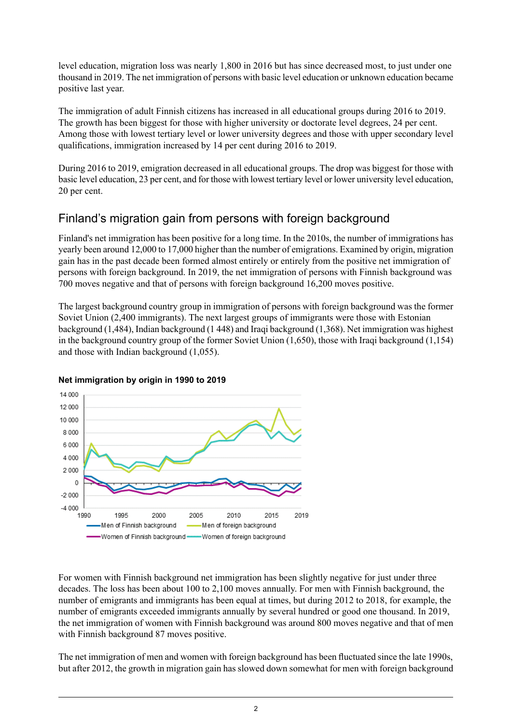level education, migration loss was nearly 1,800 in 2016 but has since decreased most, to just under one thousand in 2019. The net immigration of persons with basic level education or unknown education became positive last year.

The immigration of adult Finnish citizens has increased in all educational groups during 2016 to 2019. The growth has been biggest for those with higher university or doctorate level degrees, 24 per cent. Among those with lowest tertiary level or lower university degrees and those with upper secondary level qualifications, immigration increased by 14 per cent during 2016 to 2019.

During 2016 to 2019, emigration decreased in all educational groups. The drop was biggest for those with basic level education, 23 per cent, and for those with lowest tertiary level or lower university level education, 20 per cent.

## Finland's migration gain from persons with foreign background

Finland's net immigration has been positive for a long time. In the 2010s, the number of immigrations has yearly been around 12,000 to 17,000 higher than the number of emigrations. Examined by origin, migration gain has in the past decade been formed almost entirely or entirely from the positive net immigration of persons with foreign background. In 2019, the net immigration of persons with Finnish background was 700 moves negative and that of persons with foreign background 16,200 moves positive.

The largest background country group in immigration of persons with foreign background was the former Soviet Union (2,400 immigrants). The next largest groups of immigrants were those with Estonian background (1,484), Indian background (1 448) and Iraqi background (1,368). Net immigration was highest in the background country group of the former Soviet Union (1,650), those with Iraqi background (1,154) and those with Indian background (1,055).



### **Net immigration by origin in 1990 to 2019**

For women with Finnish background net immigration has been slightly negative for just under three decades. The loss has been about 100 to 2,100 moves annually. For men with Finnish background, the number of emigrants and immigrants has been equal at times, but during 2012 to 2018, for example, the number of emigrants exceeded immigrants annually by several hundred or good one thousand. In 2019, the net immigration of women with Finnish background was around 800 moves negative and that of men with Finnish background 87 moves positive.

The net immigration of men and women with foreign background has been fluctuated since the late 1990s, but after 2012, the growth in migration gain has slowed down somewhat for men with foreign background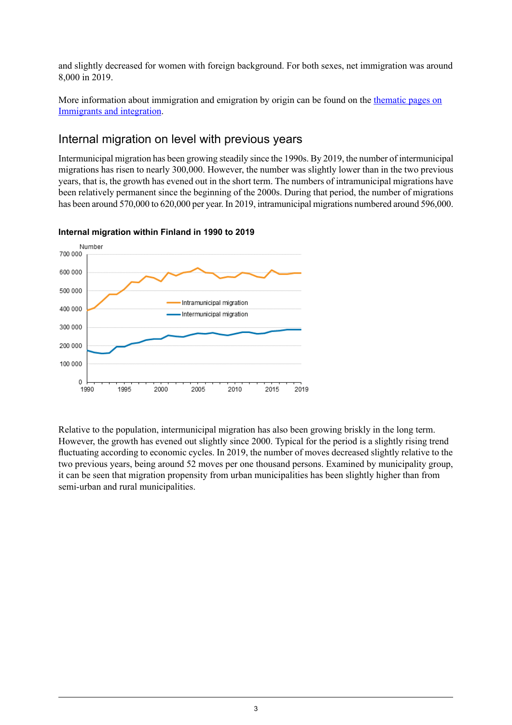and slightly decreased for women with foreign background. For both sexes, net immigration was around 8,000 in 2019.

More information about immigration and emigration by origin can be found on the [thematic](http://tilastokeskus.fi/tup/maahanmuutto/index_en.html) pages on [Immigrants](http://tilastokeskus.fi/tup/maahanmuutto/index_en.html) and integration.

### Internal migration on level with previous years

Intermunicipal migration has been growing steadily since the 1990s. By 2019, the number of intermunicipal migrations has risen to nearly 300,000. However, the number was slightly lower than in the two previous years, that is, the growth has evened out in the short term. The numbers of intramunicipal migrations have been relatively permanent since the beginning of the 2000s. During that period, the number of migrations has been around 570,000 to 620,000 per year. In 2019, intramunicipal migrations numbered around 596,000.



### **Internal migration within Finland in 1990 to 2019**

Relative to the population, intermunicipal migration has also been growing briskly in the long term. However, the growth has evened out slightly since 2000. Typical for the period is a slightly rising trend fluctuating according to economic cycles. In 2019, the number of moves decreased slightly relative to the two previous years, being around 52 moves per one thousand persons. Examined by municipality group, it can be seen that migration propensity from urban municipalities has been slightly higher than from semi-urban and rural municipalities.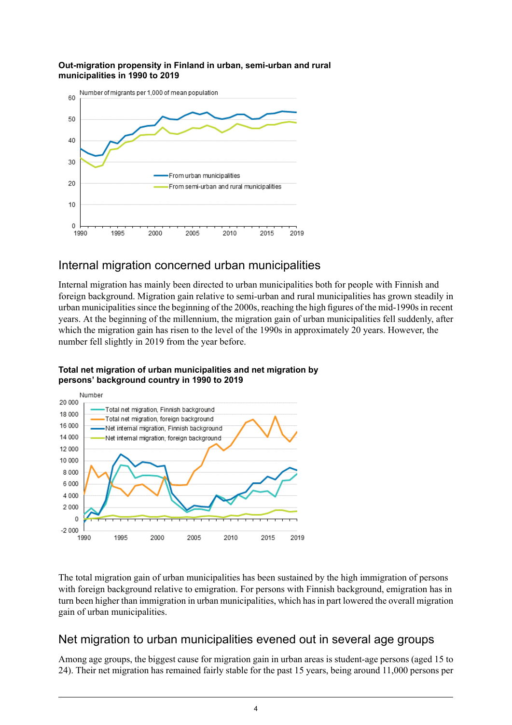#### **Out-migration propensity in Finland in urban, semi-urban and rural municipalities in 1990 to 2019**



### Internal migration concerned urban municipalities

Internal migration has mainly been directed to urban municipalities both for people with Finnish and foreign background. Migration gain relative to semi-urban and rural municipalities has grown steadily in urban municipalities since the beginning of the 2000s, reaching the high figures of the mid-1990s in recent years. At the beginning of the millennium, the migration gain of urban municipalities fell suddenly, after which the migration gain has risen to the level of the 1990s in approximately 20 years. However, the number fell slightly in 2019 from the year before.



### **Total net migration of urban municipalities and net migration by persons' background country in 1990 to 2019**

The total migration gain of urban municipalities has been sustained by the high immigration of persons with foreign background relative to emigration. For persons with Finnish background, emigration has in turn been higher than immigration in urban municipalities, which hasin part lowered the overall migration gain of urban municipalities.

## Net migration to urban municipalities evened out in several age groups

Among age groups, the biggest cause for migration gain in urban areas is student-age persons (aged 15 to 24). Their net migration has remained fairly stable for the past 15 years, being around 11,000 persons per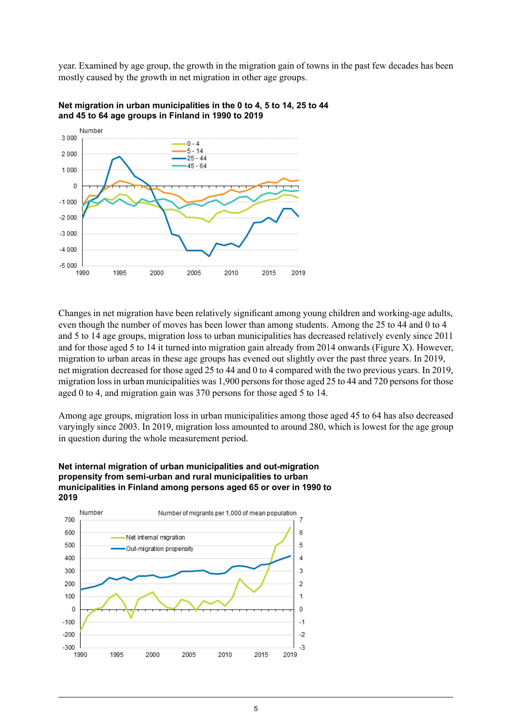year. Examined by age group, the growth in the migration gain of towns in the past few decades has been mostly caused by the growth in net migration in other age groups.





Changes in net migration have been relatively significant among young children and working-age adults, even though the number of moves has been lower than among students. Among the 25 to 44 and 0 to 4 and 5 to 14 age groups, migration loss to urban municipalities has decreased relatively evenly since 2011 and for those aged 5 to 14 it turned into migration gain already from 2014 onwards (Figure X). However, migration to urban areas in these age groups has evened out slightly over the past three years. In 2019, net migration decreased for those aged 25 to 44 and 0 to 4 compared with the two previous years. In 2019, migration loss in urban municipalities was 1,900 persons for those aged 25 to 44 and 720 persons for those aged 0 to 4, and migration gain was 370 persons for those aged 5 to 14.

Among age groups, migration loss in urban municipalities among those aged 45 to 64 has also decreased varyingly since 2003. In 2019, migration loss amounted to around 280, which is lowest for the age group in question during the whole measurement period.

#### **Net internal migration of urban municipalities and out-migration propensity from semi-urban and rural municipalities to urban municipalities in Finland among persons aged 65 or over in 1990 to 2019**

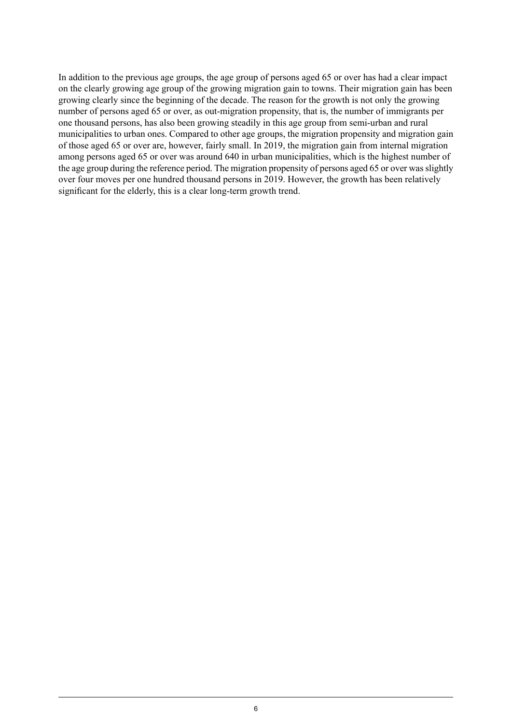In addition to the previous age groups, the age group of persons aged 65 or over has had a clear impact on the clearly growing age group of the growing migration gain to towns. Their migration gain has been growing clearly since the beginning of the decade. The reason for the growth is not only the growing number of persons aged 65 or over, as out-migration propensity, that is, the number of immigrants per one thousand persons, has also been growing steadily in this age group from semi-urban and rural municipalities to urban ones. Compared to other age groups, the migration propensity and migration gain of those aged 65 or over are, however, fairly small. In 2019, the migration gain from internal migration among persons aged 65 or over was around 640 in urban municipalities, which is the highest number of the age group during the reference period. The migration propensity of persons aged 65 or over wasslightly over four moves per one hundred thousand persons in 2019. However, the growth has been relatively significant for the elderly, this is a clear long-term growth trend.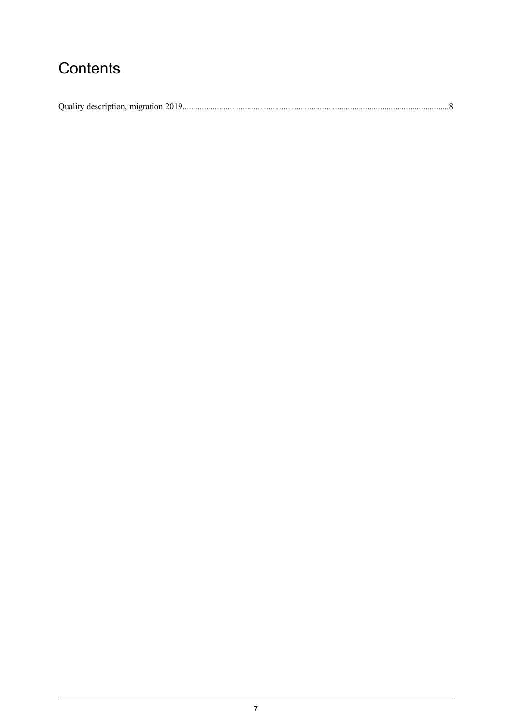## Contents

| Quality description, migration 2019 |  |  |  |
|-------------------------------------|--|--|--|
|-------------------------------------|--|--|--|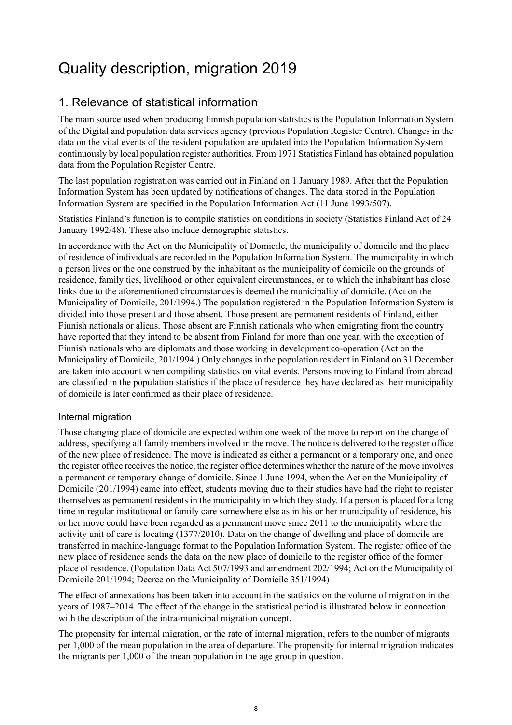## <span id="page-7-0"></span>Quality description, migration 2019

## 1. Relevance of statistical information

The main source used when producing Finnish population statistics is the Population Information System of the Digital and population data services agency (previous Population Register Centre). Changes in the data on the vital events of the resident population are updated into the Population Information System continuously by local population register authorities. From 1971 Statistics Finland has obtained population data from the Population Register Centre.

The last population registration was carried out in Finland on 1 January 1989. After that the Population Information System has been updated by notifications of changes. The data stored in the Population Information System are specified in the Population Information Act (11 June 1993/507).

Statistics Finland's function is to compile statistics on conditions in society (Statistics Finland Act of 24 January 1992/48). These also include demographic statistics.

In accordance with the Act on the Municipality of Domicile, the municipality of domicile and the place of residence of individuals are recorded in the Population Information System. The municipality in which a person lives or the one construed by the inhabitant as the municipality of domicile on the grounds of residence, family ties, livelihood or other equivalent circumstances, or to which the inhabitant has close links due to the aforementioned circumstances is deemed the municipality of domicile. (Act on the Municipality of Domicile, 201/1994.) The population registered in the Population Information System is divided into those present and those absent. Those present are permanent residents of Finland, either Finnish nationals or aliens. Those absent are Finnish nationals who when emigrating from the country have reported that they intend to be absent from Finland for more than one year, with the exception of Finnish nationals who are diplomats and those working in development co-operation (Act on the Municipality of Domicile, 201/1994.) Only changes in the population resident in Finland on 31 December are taken into account when compiling statistics on vital events. Persons moving to Finland from abroad are classified in the population statistics if the place of residence they have declared as their municipality of domicile is later confirmed as their place of residence.

### Internal migration

Those changing place of domicile are expected within one week of the move to report on the change of address, specifying all family members involved in the move. The notice is delivered to the register office of the new place of residence. The move is indicated as either a permanent or a temporary one, and once the register office receives the notice, the register office determines whether the nature of the move involves a permanent or temporary change of domicile. Since 1 June 1994, when the Act on the Municipality of Domicile (201/1994) came into effect, students moving due to their studies have had the right to register themselves as permanent residents in the municipality in which they study. If a person is placed for a long time in regular institutional or family care somewhere else as in his or her municipality of residence, his or her move could have been regarded as a permanent move since 2011 to the municipality where the activity unit of care is locating (1377/2010). Data on the change of dwelling and place of domicile are transferred in machine-language format to the Population Information System. The register office of the new place of residence sends the data on the new place of domicile to the register office of the former place of residence. (Population Data Act 507/1993 and amendment 202/1994; Act on the Municipality of Domicile 201/1994; Decree on the Municipality of Domicile 351/1994)

The effect of annexations has been taken into account in the statistics on the volume of migration in the years of 1987–2014. The effect of the change in the statistical period is illustrated below in connection with the description of the intra-municipal migration concept.

The propensity for internal migration, or the rate of internal migration, refers to the number of migrants per 1,000 of the mean population in the area of departure. The propensity for internal migration indicates the migrants per 1,000 of the mean population in the age group in question.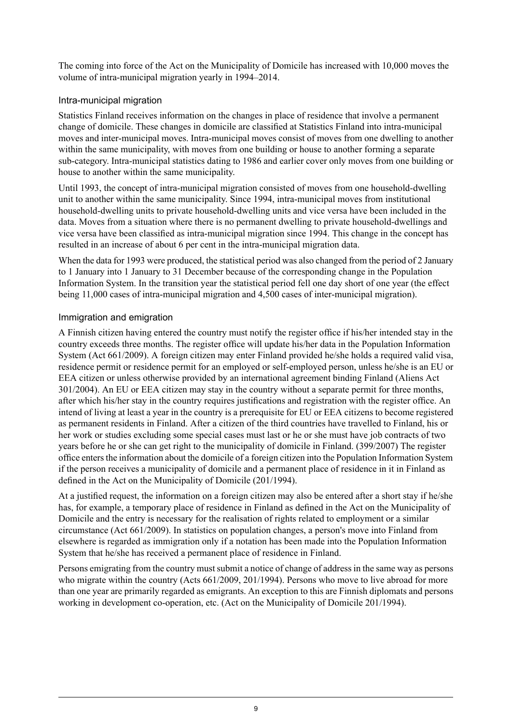The coming into force of the Act on the Municipality of Domicile has increased with 10,000 moves the volume of intra-municipal migration yearly in 1994–2014.

### Intra-municipal migration

Statistics Finland receives information on the changes in place of residence that involve a permanent change of domicile. These changes in domicile are classified at Statistics Finland into intra-municipal moves and inter-municipal moves. Intra-municipal moves consist of moves from one dwelling to another within the same municipality, with moves from one building or house to another forming a separate sub-category. Intra-municipal statistics dating to 1986 and earlier cover only moves from one building or house to another within the same municipality.

Until 1993, the concept of intra-municipal migration consisted of moves from one household-dwelling unit to another within the same municipality. Since 1994, intra-municipal moves from institutional household-dwelling units to private household-dwelling units and vice versa have been included in the data. Moves from a situation where there is no permanent dwelling to private household-dwellings and vice versa have been classified as intra-municipal migration since 1994. This change in the concept has resulted in an increase of about 6 per cent in the intra-municipal migration data.

When the data for 1993 were produced, the statistical period was also changed from the period of 2 January to 1 January into 1 January to 31 December because of the corresponding change in the Population Information System. In the transition year the statistical period fell one day short of one year (the effect being 11,000 cases of intra-municipal migration and 4,500 cases of inter-municipal migration).

### Immigration and emigration

A Finnish citizen having entered the country must notify the register office if his/her intended stay in the country exceeds three months. The register office will update his/her data in the Population Information System (Act 661/2009). A foreign citizen may enter Finland provided he/she holds a required valid visa, residence permit or residence permit for an employed or self-employed person, unless he/she is an EU or EEA citizen or unless otherwise provided by an international agreement binding Finland (Aliens Act 301/2004). An EU or EEA citizen may stay in the country without a separate permit for three months, after which his/her stay in the country requires justifications and registration with the register office. An intend of living at least a year in the country is a prerequisite for EU or EEA citizens to become registered as permanent residents in Finland. After a citizen of the third countries have travelled to Finland, his or her work or studies excluding some special cases must last or he or she must have job contracts of two years before he or she can get right to the municipality of domicile in Finland. (399/2007) The register office entersthe information about the domicile of a foreign citizen into the Population Information System if the person receives a municipality of domicile and a permanent place of residence in it in Finland as defined in the Act on the Municipality of Domicile (201/1994).

At a justified request, the information on a foreign citizen may also be entered after a short stay if he/she has, for example, a temporary place of residence in Finland as defined in the Act on the Municipality of Domicile and the entry is necessary for the realisation of rights related to employment or a similar circumstance (Act 661/2009). In statistics on population changes, a person's move into Finland from elsewhere is regarded as immigration only if a notation has been made into the Population Information System that he/she has received a permanent place of residence in Finland.

Persons emigrating from the country must submit a notice of change of address in the same way as persons who migrate within the country (Acts 661/2009, 201/1994). Persons who move to live abroad for more than one year are primarily regarded as emigrants. An exception to this are Finnish diplomats and persons working in development co-operation, etc. (Act on the Municipality of Domicile 201/1994).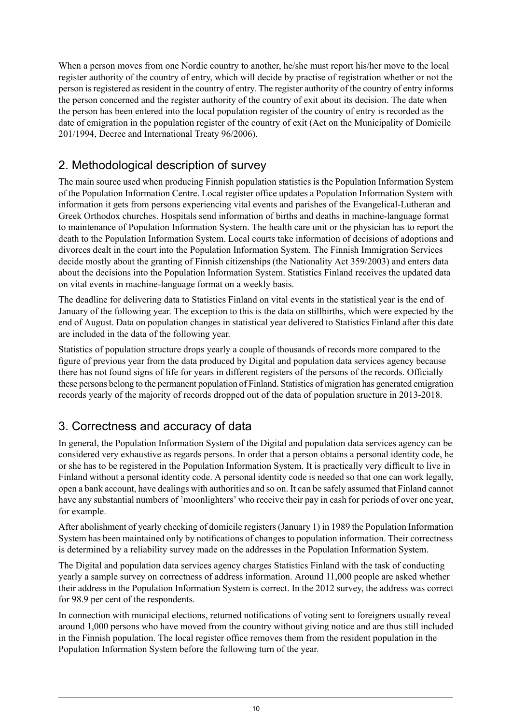When a person moves from one Nordic country to another, he/she must report his/her move to the local register authority of the country of entry, which will decide by practise of registration whether or not the person is registered as resident in the country of entry. The register authority of the country of entry informs the person concerned and the register authority of the country of exit about its decision. The date when the person has been entered into the local population register of the country of entry is recorded as the date of emigration in the population register of the country of exit (Act on the Municipality of Domicile 201/1994, Decree and International Treaty 96/2006).

## 2. Methodological description of survey

The main source used when producing Finnish population statistics is the Population Information System of the Population Information Centre. Local register office updates a Population Information System with information it gets from persons experiencing vital events and parishes of the Evangelical-Lutheran and Greek Orthodox churches. Hospitals send information of births and deaths in machine-language format to maintenance of Population Information System. The health care unit or the physician has to report the death to the Population Information System. Local courts take information of decisions of adoptions and divorces dealt in the court into the Population Information System. The Finnish Immigration Services decide mostly about the granting of Finnish citizenships (the Nationality Act 359/2003) and enters data about the decisions into the Population Information System. Statistics Finland receives the updated data on vital events in machine-language format on a weekly basis.

The deadline for delivering data to Statistics Finland on vital events in the statistical year is the end of January of the following year. The exception to this is the data on stillbirths, which were expected by the end of August. Data on population changes in statistical year delivered to Statistics Finland after this date are included in the data of the following year.

Statistics of population structure drops yearly a couple of thousands of records more compared to the figure of previous year from the data produced by Digital and population data services agency because there has not found signs of life for years in different registers of the persons of the records. Officially these persons belong to the permanent population of Finland. Statistics of migration has generated emigration records yearly of the majority of records dropped out of the data of population sructure in 2013-2018.

## 3. Correctness and accuracy of data

In general, the Population Information System of the Digital and population data services agency can be considered very exhaustive as regards persons. In order that a person obtains a personal identity code, he or she has to be registered in the Population Information System. It is practically very difficult to live in Finland without a personal identity code. A personal identity code is needed so that one can work legally, open a bank account, have dealings with authorities and so on. It can be safely assumed that Finland cannot have any substantial numbers of 'moonlighters' who receive their pay in cash for periods of over one year, for example.

After abolishment of yearly checking of domicile registers (January 1) in 1989 the Population Information System has been maintained only by notifications of changes to population information. Their correctness is determined by a reliability survey made on the addresses in the Population Information System.

The Digital and population data services agency charges Statistics Finland with the task of conducting yearly a sample survey on correctness of address information. Around 11,000 people are asked whether their address in the Population Information System is correct. In the 2012 survey, the address was correct for 98.9 per cent of the respondents.

In connection with municipal elections, returned notifications of voting sent to foreigners usually reveal around 1,000 persons who have moved from the country without giving notice and are thus still included in the Finnish population. The local register office removes them from the resident population in the Population Information System before the following turn of the year.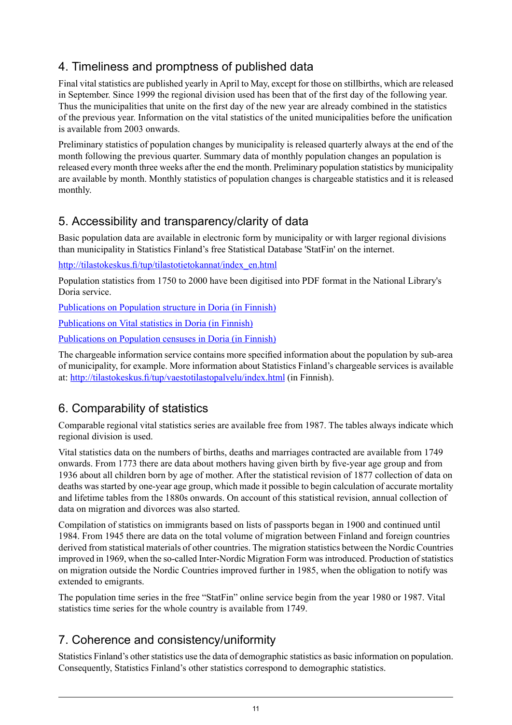## 4. Timeliness and promptness of published data

Final vital statistics are published yearly in April to May, except for those on stillbirths, which are released in September. Since 1999 the regional division used has been that of the first day of the following year. Thus the municipalities that unite on the first day of the new year are already combined in the statistics of the previous year. Information on the vital statistics of the united municipalities before the unification is available from 2003 onwards.

Preliminary statistics of population changes by municipality is released quarterly always at the end of the month following the previous quarter. Summary data of monthly population changes an population is released every month three weeks after the end the month. Preliminary population statistics by municipality are available by month. Monthly statistics of population changes is chargeable statistics and it is released monthly.

### 5. Accessibility and transparency/clarity of data

Basic population data are available in electronic form by municipality or with larger regional divisions than municipality in Statistics Finland's free Statistical Database 'StatFin' on the internet.

[http://tilastokeskus.fi/tup/tilastotietokannat/index\\_en.html](http://tilastokeskus.fi/tup/tilastotietokannat/index_en.html)

Population statistics from 1750 to 2000 have been digitised into PDF format in the National Library's Doria service.

[Publications](http://www.doria.fi/handle/10024/67162) on Population structure in Doria (in Finnish)

[Publications](http://www.doria.fi/handle/10024/67161) on Vital statistics in Doria (in Finnish)

[Publications](http://www.doria.fi/handle/10024/67160) on Population censuses in Doria (in Finnish)

The chargeable information service contains more specified information about the population by sub-area of municipality, for example. More information about Statistics Finland's chargeable services is available at: <http://tilastokeskus.fi/tup/vaestotilastopalvelu/index.html> (in Finnish).

## 6. Comparability of statistics

Comparable regional vital statistics series are available free from 1987. The tables always indicate which regional division is used.

Vital statistics data on the numbers of births, deaths and marriages contracted are available from 1749 onwards. From 1773 there are data about mothers having given birth by five-year age group and from 1936 about all children born by age of mother. After the statistical revision of 1877 collection of data on deaths was started by one-year age group, which made it possible to begin calculation of accurate mortality and lifetime tables from the 1880s onwards. On account of this statistical revision, annual collection of data on migration and divorces was also started.

Compilation of statistics on immigrants based on lists of passports began in 1900 and continued until 1984. From 1945 there are data on the total volume of migration between Finland and foreign countries derived from statistical materials of other countries. The migration statistics between the Nordic Countries improved in 1969, when the so-called Inter-Nordic Migration Form was introduced. Production of statistics on migration outside the Nordic Countries improved further in 1985, when the obligation to notify was extended to emigrants.

The population time series in the free "StatFin" online service begin from the year 1980 or 1987. Vital statistics time series for the whole country is available from 1749.

## 7. Coherence and consistency/uniformity

Statistics Finland's other statistics use the data of demographic statistics as basic information on population. Consequently, Statistics Finland's other statistics correspond to demographic statistics.